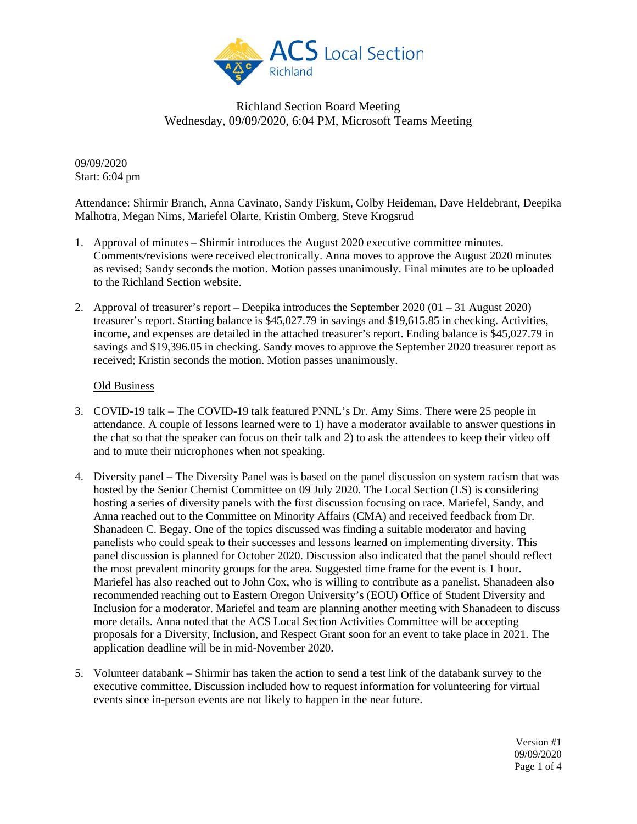

09/09/2020 Start: 6:04 pm

Attendance: Shirmir Branch, Anna Cavinato, Sandy Fiskum, Colby Heideman, Dave Heldebrant, Deepika Malhotra, Megan Nims, Mariefel Olarte, Kristin Omberg, Steve Krogsrud

- 1. Approval of minutes Shirmir introduces the August 2020 executive committee minutes. Comments/revisions were received electronically. Anna moves to approve the August 2020 minutes as revised; Sandy seconds the motion. Motion passes unanimously. Final minutes are to be uploaded to the Richland Section website.
- 2. Approval of treasurer's report Deepika introduces the September 2020 (01 31 August 2020) treasurer's report. Starting balance is \$45,027.79 in savings and \$19,615.85 in checking. Activities, income, and expenses are detailed in the attached treasurer's report. Ending balance is \$45,027.79 in savings and \$19,396.05 in checking. Sandy moves to approve the September 2020 treasurer report as received; Kristin seconds the motion. Motion passes unanimously.

#### Old Business

- 3. COVID-19 talk The COVID-19 talk featured PNNL's Dr. Amy Sims. There were 25 people in attendance. A couple of lessons learned were to 1) have a moderator available to answer questions in the chat so that the speaker can focus on their talk and 2) to ask the attendees to keep their video off and to mute their microphones when not speaking.
- 4. Diversity panel The Diversity Panel was is based on the panel discussion on system racism that was hosted by the Senior Chemist Committee on 09 July 2020. The Local Section (LS) is considering hosting a series of diversity panels with the first discussion focusing on race. Mariefel, Sandy, and Anna reached out to the Committee on Minority Affairs (CMA) and received feedback from Dr. Shanadeen C. Begay. One of the topics discussed was finding a suitable moderator and having panelists who could speak to their successes and lessons learned on implementing diversity. This panel discussion is planned for October 2020. Discussion also indicated that the panel should reflect the most prevalent minority groups for the area. Suggested time frame for the event is 1 hour. Mariefel has also reached out to John Cox, who is willing to contribute as a panelist. Shanadeen also recommended reaching out to Eastern Oregon University's (EOU) Office of Student Diversity and Inclusion for a moderator. Mariefel and team are planning another meeting with Shanadeen to discuss more details. Anna noted that the ACS Local Section Activities Committee will be accepting proposals for a Diversity, Inclusion, and Respect Grant soon for an event to take place in 2021. The application deadline will be in mid-November 2020.
- 5. Volunteer databank Shirmir has taken the action to send a test link of the databank survey to the executive committee. Discussion included how to request information for volunteering for virtual events since in-person events are not likely to happen in the near future.

Version #1 09/09/2020 Page 1 of 4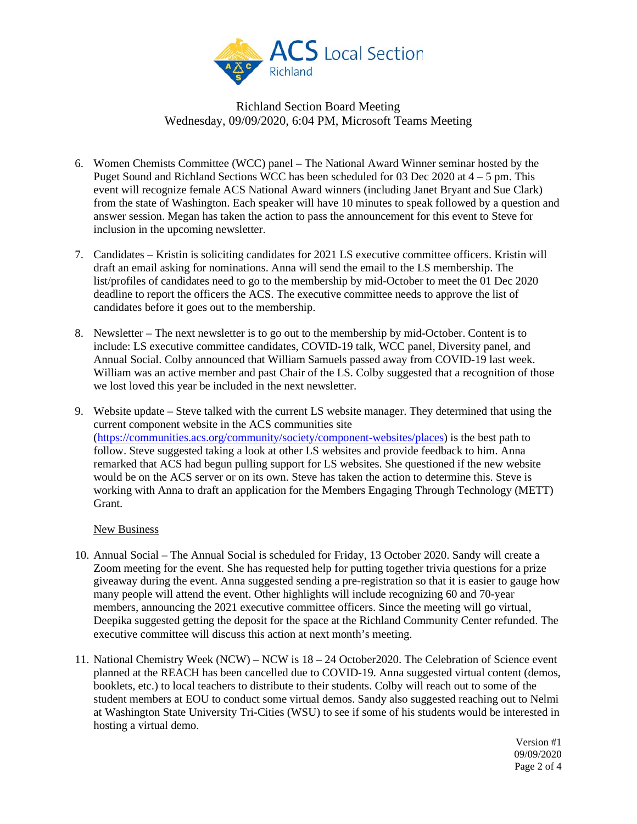

- 6. Women Chemists Committee (WCC) panel The National Award Winner seminar hosted by the Puget Sound and Richland Sections WCC has been scheduled for 03 Dec 2020 at  $4 - 5$  pm. This event will recognize female ACS National Award winners (including Janet Bryant and Sue Clark) from the state of Washington. Each speaker will have 10 minutes to speak followed by a question and answer session. Megan has taken the action to pass the announcement for this event to Steve for inclusion in the upcoming newsletter.
- 7. Candidates Kristin is soliciting candidates for 2021 LS executive committee officers. Kristin will draft an email asking for nominations. Anna will send the email to the LS membership. The list/profiles of candidates need to go to the membership by mid-October to meet the 01 Dec 2020 deadline to report the officers the ACS. The executive committee needs to approve the list of candidates before it goes out to the membership.
- 8. Newsletter The next newsletter is to go out to the membership by mid-October. Content is to include: LS executive committee candidates, COVID-19 talk, WCC panel, Diversity panel, and Annual Social. Colby announced that William Samuels passed away from COVID-19 last week. William was an active member and past Chair of the LS. Colby suggested that a recognition of those we lost loved this year be included in the next newsletter.
- 9. Website update Steve talked with the current LS website manager. They determined that using the current component website in the ACS communities site [\(https://communities.acs.org/community/society/component-websites/places\)](https://communities.acs.org/community/society/component-websites/places) is the best path to follow. Steve suggested taking a look at other LS websites and provide feedback to him. Anna remarked that ACS had begun pulling support for LS websites. She questioned if the new website would be on the ACS server or on its own. Steve has taken the action to determine this. Steve is working with Anna to draft an application for the Members Engaging Through Technology (METT) Grant.

#### New Business

- 10. Annual Social The Annual Social is scheduled for Friday, 13 October 2020. Sandy will create a Zoom meeting for the event. She has requested help for putting together trivia questions for a prize giveaway during the event. Anna suggested sending a pre-registration so that it is easier to gauge how many people will attend the event. Other highlights will include recognizing 60 and 70-year members, announcing the 2021 executive committee officers. Since the meeting will go virtual, Deepika suggested getting the deposit for the space at the Richland Community Center refunded. The executive committee will discuss this action at next month's meeting.
- 11. National Chemistry Week (NCW) NCW is 18 24 October2020. The Celebration of Science event planned at the REACH has been cancelled due to COVID-19. Anna suggested virtual content (demos, booklets, etc.) to local teachers to distribute to their students. Colby will reach out to some of the student members at EOU to conduct some virtual demos. Sandy also suggested reaching out to Nelmi at Washington State University Tri-Cities (WSU) to see if some of his students would be interested in hosting a virtual demo.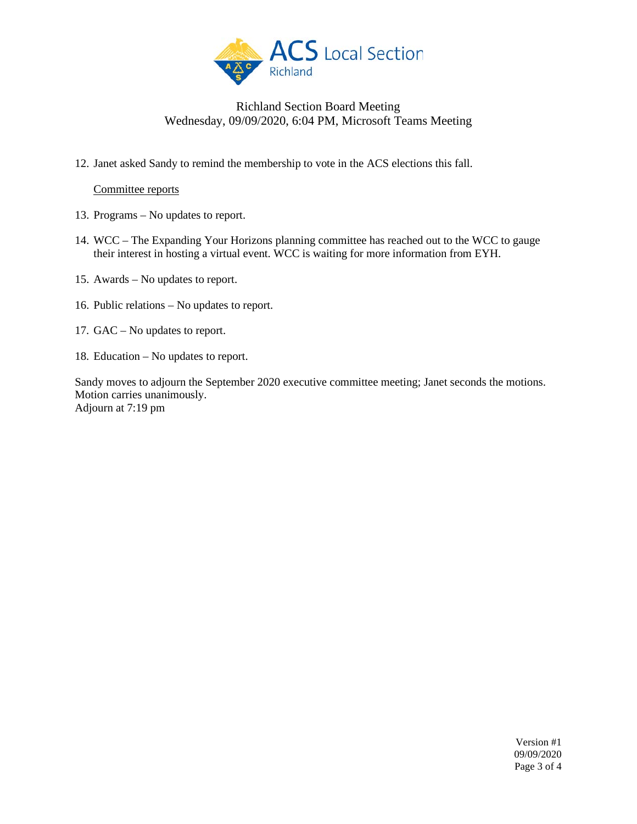

12. Janet asked Sandy to remind the membership to vote in the ACS elections this fall.

### Committee reports

- 13. Programs No updates to report.
- 14. WCC The Expanding Your Horizons planning committee has reached out to the WCC to gauge their interest in hosting a virtual event. WCC is waiting for more information from EYH.
- 15. Awards No updates to report.
- 16. Public relations No updates to report.
- 17. GAC No updates to report.
- 18. Education No updates to report.

Sandy moves to adjourn the September 2020 executive committee meeting; Janet seconds the motions. Motion carries unanimously. Adjourn at 7:19 pm

> Version #1 09/09/2020 Page 3 of 4